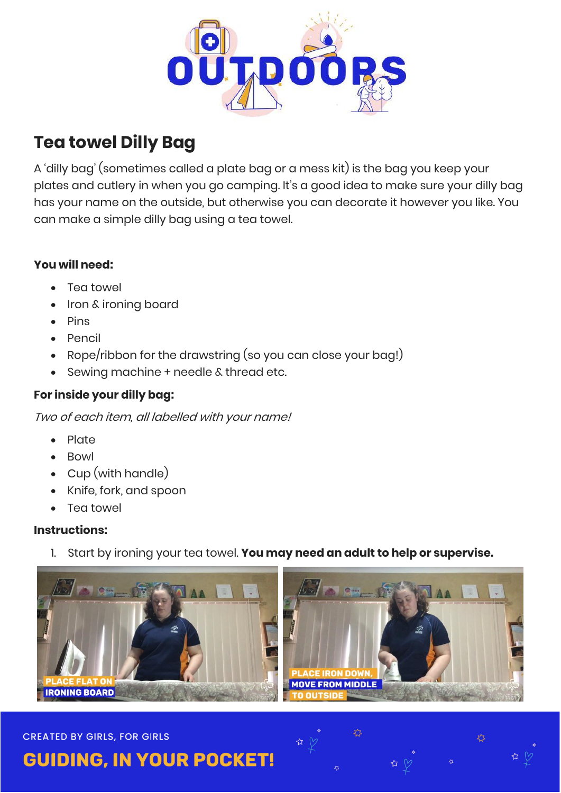

# **Tea towel Dilly Bag**

A 'dilly bag' (sometimes called a plate bag or a mess kit) is the bag you keep your plates and cutlery in when you go camping. It's a good idea to make sure your dilly bag has your name on the outside, but otherwise you can decorate it however you like. You can make a simple dilly bag using a tea towel.

## **You will need:**

- Tea towel
- Iron & ironing board
- $\bullet$  Pins
- Pencil
- Rope/ribbon for the drawstring (so you can close your bag!)
- Sewing machine + needle & thread etc.

# **For inside your dilly bag:**

Two of each item, all labelled with your name!

- Plate
- Bowl
- Cup (with handle)
- Knife, fork, and spoon
- Tea towel

### **Instructions:**

1. Start by ironing your tea towel. **You may need an adult to help or supervise.**